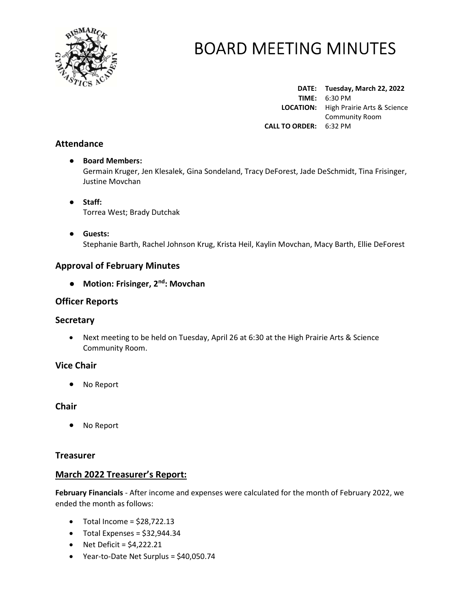

DATE: Tuesday, March 22, 2022 TIME: 6:30 PM LOCATION: High Prairie Arts & Science Community Room CALL TO ORDER: 6:32 PM

## Attendance

## ● Board Members: Germain Kruger, Jen Klesalek, Gina Sondeland, Tracy DeForest, Jade DeSchmidt, Tina Frisinger, Justine Movchan

- Staff: Torrea West; Brady Dutchak
- Guests: Stephanie Barth, Rachel Johnson Krug, Krista Heil, Kaylin Movchan, Macy Barth, Ellie DeForest

## Approval of February Minutes

● Motion: Frisinger, 2<sup>nd</sup>: Movchan

## Officer Reports

## **Secretary**

 Next meeting to be held on Tuesday, April 26 at 6:30 at the High Prairie Arts & Science Community Room.

## Vice Chair

No Report

## **Chair**

No Report

## **Treasurer**

## March 2022 Treasurer's Report:

February Financials - After income and expenses were calculated for the month of February 2022, we ended the month as follows:

- $\bullet$  Total Income = \$28,722.13
- $\bullet$  Total Expenses = \$32,944.34
- $\bullet$  Net Deficit = \$4,222.21
- Year-to-Date Net Surplus = \$40,050.74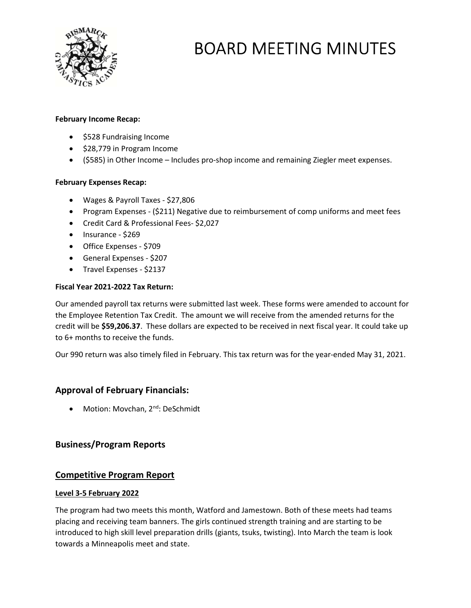

#### February Income Recap:

- \$528 Fundraising Income
- \$28,779 in Program Income
- (\$585) in Other Income Includes pro-shop income and remaining Ziegler meet expenses.

#### February Expenses Recap:

- Wages & Payroll Taxes \$27,806
- Program Expenses (\$211) Negative due to reimbursement of comp uniforms and meet fees
- Credit Card & Professional Fees- \$2,027
- Insurance \$269
- Office Expenses \$709
- General Expenses \$207
- Travel Expenses \$2137

## Fiscal Year 2021-2022 Tax Return:

Our amended payroll tax returns were submitted last week. These forms were amended to account for the Employee Retention Tax Credit. The amount we will receive from the amended returns for the credit will be \$59,206.37. These dollars are expected to be received in next fiscal year. It could take up to 6+ months to receive the funds.

Our 990 return was also timely filed in February. This tax return was for the year-ended May 31, 2021.

## Approval of February Financials:

• Motion: Movchan, 2<sup>nd</sup>: DeSchmidt

## Business/Program Reports

## Competitive Program Report

#### Level 3-5 February 2022

The program had two meets this month, Watford and Jamestown. Both of these meets had teams placing and receiving team banners. The girls continued strength training and are starting to be introduced to high skill level preparation drills (giants, tsuks, twisting). Into March the team is look towards a Minneapolis meet and state.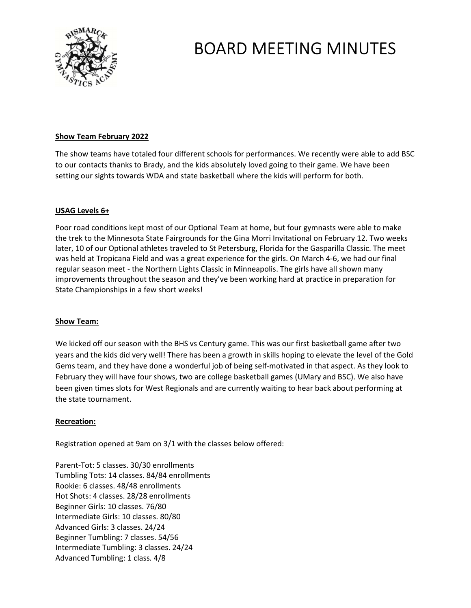

#### Show Team February 2022

The show teams have totaled four different schools for performances. We recently were able to add BSC to our contacts thanks to Brady, and the kids absolutely loved going to their game. We have been setting our sights towards WDA and state basketball where the kids will perform for both.

#### USAG Levels 6+

Poor road conditions kept most of our Optional Team at home, but four gymnasts were able to make the trek to the Minnesota State Fairgrounds for the Gina Morri Invitational on February 12. Two weeks later, 10 of our Optional athletes traveled to St Petersburg, Florida for the Gasparilla Classic. The meet was held at Tropicana Field and was a great experience for the girls. On March 4-6, we had our final regular season meet - the Northern Lights Classic in Minneapolis. The girls have all shown many improvements throughout the season and they've been working hard at practice in preparation for State Championships in a few short weeks!

#### Show Team:

We kicked off our season with the BHS vs Century game. This was our first basketball game after two years and the kids did very well! There has been a growth in skills hoping to elevate the level of the Gold Gems team, and they have done a wonderful job of being self-motivated in that aspect. As they look to February they will have four shows, two are college basketball games (UMary and BSC). We also have been given times slots for West Regionals and are currently waiting to hear back about performing at the state tournament.

#### Recreation:

Registration opened at 9am on 3/1 with the classes below offered:

Parent-Tot: 5 classes. 30/30 enrollments Tumbling Tots: 14 classes. 84/84 enrollments Rookie: 6 classes. 48/48 enrollments Hot Shots: 4 classes. 28/28 enrollments Beginner Girls: 10 classes. 76/80 Intermediate Girls: 10 classes. 80/80 Advanced Girls: 3 classes. 24/24 Beginner Tumbling: 7 classes. 54/56 Intermediate Tumbling: 3 classes. 24/24 Advanced Tumbling: 1 class. 4/8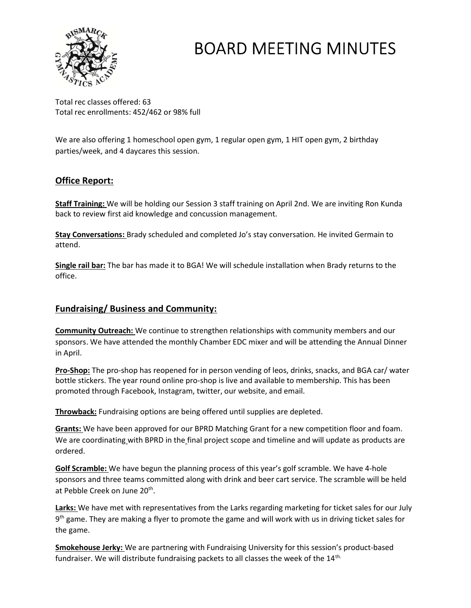

Total rec classes offered: 63 Total rec enrollments: 452/462 or 98% full

We are also offering 1 homeschool open gym, 1 regular open gym, 1 HIT open gym, 2 birthday parties/week, and 4 daycares this session.

# Office Report:

Staff Training: We will be holding our Session 3 staff training on April 2nd. We are inviting Ron Kunda back to review first aid knowledge and concussion management.

Stay Conversations: Brady scheduled and completed Jo's stay conversation. He invited Germain to attend.

Single rail bar: The bar has made it to BGA! We will schedule installation when Brady returns to the office.

## Fundraising/ Business and Community:

Community Outreach: We continue to strengthen relationships with community members and our sponsors. We have attended the monthly Chamber EDC mixer and will be attending the Annual Dinner in April.

**Pro-Shop:** The pro-shop has reopened for in person vending of leos, drinks, snacks, and BGA car/ water bottle stickers. The year round online pro-shop is live and available to membership. This has been promoted through Facebook, Instagram, twitter, our website, and email.

Throwback: Fundraising options are being offered until supplies are depleted.

**Grants:** We have been approved for our BPRD Matching Grant for a new competition floor and foam. We are coordinating with BPRD in the final project scope and timeline and will update as products are ordered.

Golf Scramble: We have begun the planning process of this year's golf scramble. We have 4-hole sponsors and three teams committed along with drink and beer cart service. The scramble will be held at Pebble Creek on June 20<sup>th</sup>.

Larks: We have met with representatives from the Larks regarding marketing for ticket sales for our July 9<sup>th</sup> game. They are making a flyer to promote the game and will work with us in driving ticket sales for the game.

Smokehouse Jerky: We are partnering with Fundraising University for this session's product-based fundraiser. We will distribute fundraising packets to all classes the week of the 14<sup>th.</sup>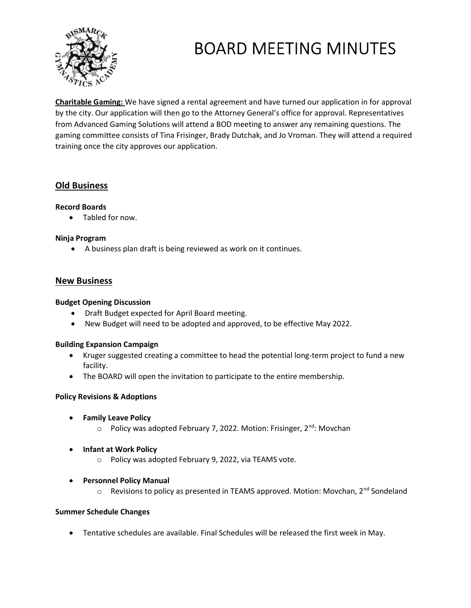

Charitable Gaming: We have signed a rental agreement and have turned our application in for approval by the city. Our application will then go to the Attorney General's office for approval. Representatives from Advanced Gaming Solutions will attend a BOD meeting to answer any remaining questions. The gaming committee consists of Tina Frisinger, Brady Dutchak, and Jo Vroman. They will attend a required training once the city approves our application.

## Old Business

#### Record Boards

Tabled for now.

#### Ninja Program

A business plan draft is being reviewed as work on it continues.

## New Business

#### Budget Opening Discussion

- Draft Budget expected for April Board meeting.
- New Budget will need to be adopted and approved, to be effective May 2022.

#### Building Expansion Campaign

- Kruger suggested creating a committee to head the potential long-term project to fund a new facility.
- The BOARD will open the invitation to participate to the entire membership.

## Policy Revisions & Adoptions

- **•** Family Leave Policy
	- o Policy was adopted February 7, 2022. Motion: Frisinger, 2<sup>nd</sup>: Movchan
- Infant at Work Policy
	- o Policy was adopted February 9, 2022, via TEAMS vote.
- Personnel Policy Manual
	- o Revisions to policy as presented in TEAMS approved. Motion: Movchan, 2<sup>nd</sup> Sondeland

#### Summer Schedule Changes

Tentative schedules are available. Final Schedules will be released the first week in May.